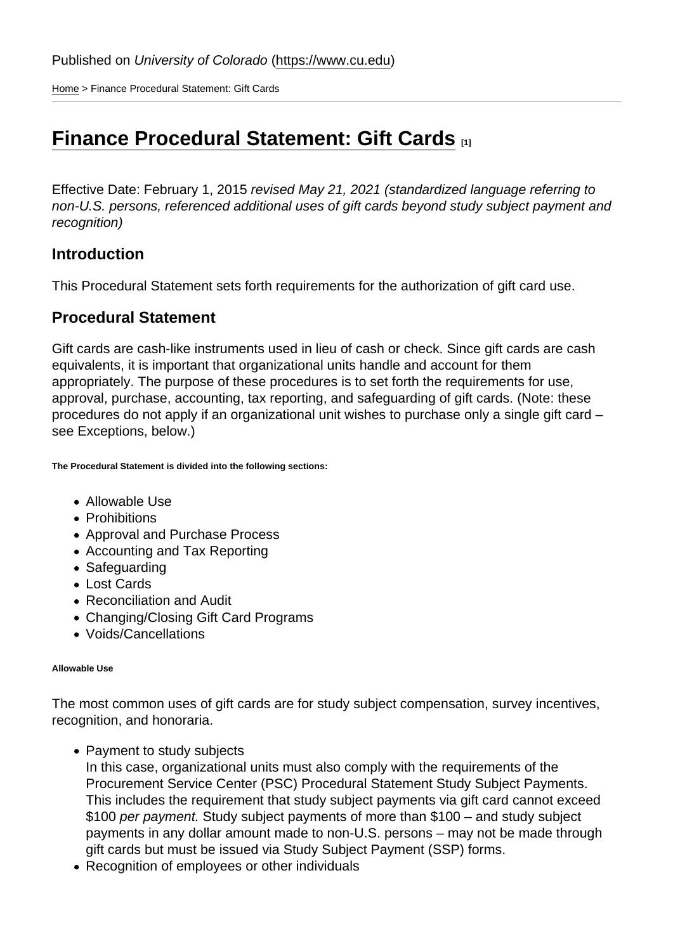[Home](https://www.cu.edu/) > Finance Procedural Statement: Gift Cards

# **[Finance Procedural Statement: Gift Cards](https://www.cu.edu/controller/procedures/finance-procedural-statements/finance-procedural-statement-gift-cards)** [1]

Effective Date: February 1, 2015 revised May 21, 2021 (standardized language referring to non-U.S. persons, referenced additional uses of gift cards beyond study subject payment and recognition)

## **Introduction**

This Procedural Statement sets forth requirements for the authorization of gift card use.

## Procedural Statement

Gift cards are cash-like instruments used in lieu of cash or check. Since gift cards are cash equivalents, it is important that organizational units handle and account for them appropriately. The purpose of these procedures is to set forth the requirements for use, approval, purchase, accounting, tax reporting, and safeguarding of gift cards. (Note: these procedures do not apply if an organizational unit wishes to purchase only a single gift card – see Exceptions, below.)

The Procedural Statement is divided into the following sections:

- Allowable Use
- Prohibitions
- Approval and Purchase Process
- Accounting and Tax Reporting
- Safeguarding
- Lost Cards
- Reconciliation and Audit
- Changing/Closing Gift Card Programs
- Voids/Cancellations

#### Allowable Use

The most common uses of gift cards are for study subject compensation, survey incentives, recognition, and honoraria.

• Payment to study subjects

In this case, organizational units must also comply with the requirements of the Procurement Service Center (PSC) Procedural Statement Study Subject Payments. This includes the requirement that study subject payments via gift card cannot exceed \$100 per payment. Study subject payments of more than \$100 – and study subject payments in any dollar amount made to non-U.S. persons – may not be made through gift cards but must be issued via Study Subject Payment (SSP) forms.

Recognition of employees or other individuals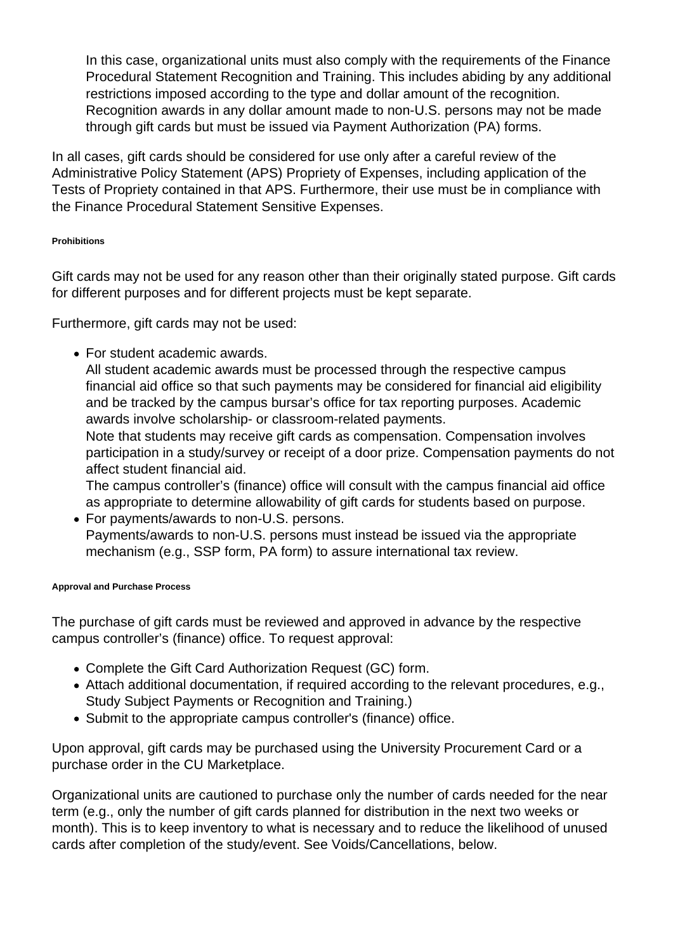In this case, organizational units must also comply with the requirements of the Finance Procedural Statement Recognition and Training. This includes abiding by any additional restrictions imposed according to the type and dollar amount of the recognition. Recognition awards in any dollar amount made to non-U.S. persons may not be made through gift cards but must be issued via Payment Authorization (PA) forms.

In all cases, gift cards should be considered for use only after a careful review of the Administrative Policy Statement (APS) Propriety of Expenses, including application of the Tests of Propriety contained in that APS. Furthermore, their use must be in compliance with the Finance Procedural Statement Sensitive Expenses.

#### **Prohibitions**

Gift cards may not be used for any reason other than their originally stated purpose. Gift cards for different purposes and for different projects must be kept separate.

Furthermore, gift cards may not be used:

For student academic awards.

All student academic awards must be processed through the respective campus financial aid office so that such payments may be considered for financial aid eligibility and be tracked by the campus bursar's office for tax reporting purposes. Academic awards involve scholarship- or classroom-related payments.

Note that students may receive gift cards as compensation. Compensation involves participation in a study/survey or receipt of a door prize. Compensation payments do not affect student financial aid.

The campus controller's (finance) office will consult with the campus financial aid office as appropriate to determine allowability of gift cards for students based on purpose.

For payments/awards to non-U.S. persons. Payments/awards to non-U.S. persons must instead be issued via the appropriate mechanism (e.g., SSP form, PA form) to assure international tax review.

#### **Approval and Purchase Process**

The purchase of gift cards must be reviewed and approved in advance by the respective campus controller's (finance) office. To request approval:

- Complete the Gift Card Authorization Request (GC) form.
- Attach additional documentation, if required according to the relevant procedures, e.g., Study Subject Payments or Recognition and Training.)
- Submit to the appropriate campus controller's (finance) office.

Upon approval, gift cards may be purchased using the University Procurement Card or a purchase order in the CU Marketplace.

Organizational units are cautioned to purchase only the number of cards needed for the near term (e.g., only the number of gift cards planned for distribution in the next two weeks or month). This is to keep inventory to what is necessary and to reduce the likelihood of unused cards after completion of the study/event. See Voids/Cancellations, below.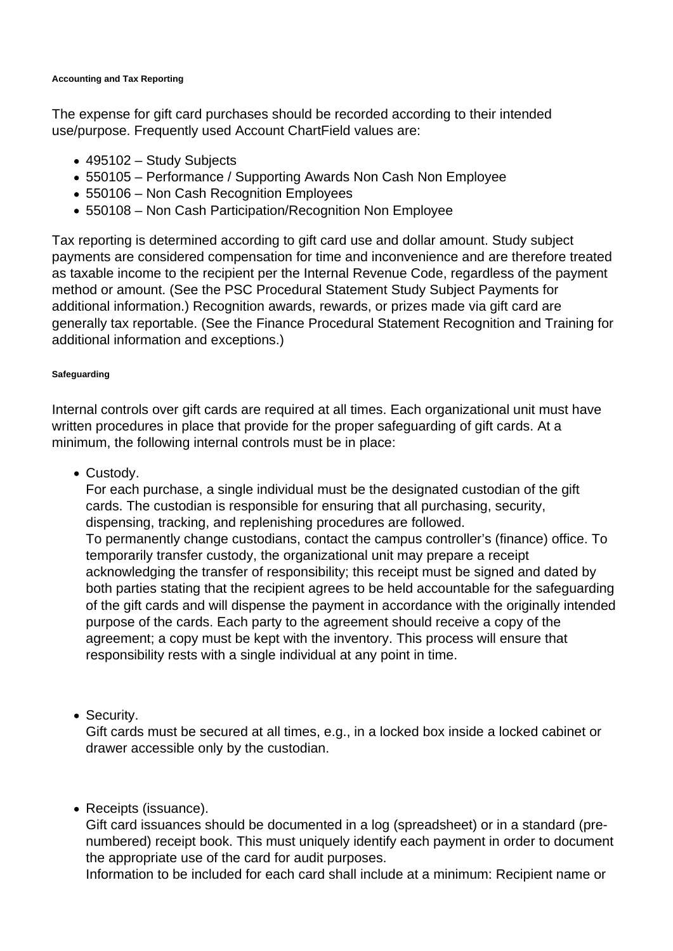#### **Accounting and Tax Reporting**

The expense for gift card purchases should be recorded according to their intended use/purpose. Frequently used Account ChartField values are:

- 495102 Study Subjects
- 550105 Performance / Supporting Awards Non Cash Non Employee
- 550106 Non Cash Recognition Employees
- 550108 Non Cash Participation/Recognition Non Employee

Tax reporting is determined according to gift card use and dollar amount. Study subject payments are considered compensation for time and inconvenience and are therefore treated as taxable income to the recipient per the Internal Revenue Code, regardless of the payment method or amount. (See the PSC Procedural Statement Study Subject Payments for additional information.) Recognition awards, rewards, or prizes made via gift card are generally tax reportable. (See the Finance Procedural Statement Recognition and Training for additional information and exceptions.)

#### **Safeguarding**

Internal controls over gift cards are required at all times. Each organizational unit must have written procedures in place that provide for the proper safeguarding of gift cards. At a minimum, the following internal controls must be in place:

• Custody.

For each purchase, a single individual must be the designated custodian of the gift cards. The custodian is responsible for ensuring that all purchasing, security, dispensing, tracking, and replenishing procedures are followed. To permanently change custodians, contact the campus controller's (finance) office. To temporarily transfer custody, the organizational unit may prepare a receipt acknowledging the transfer of responsibility; this receipt must be signed and dated by both parties stating that the recipient agrees to be held accountable for the safeguarding of the gift cards and will dispense the payment in accordance with the originally intended purpose of the cards. Each party to the agreement should receive a copy of the agreement; a copy must be kept with the inventory. This process will ensure that responsibility rests with a single individual at any point in time.

• Security.

Gift cards must be secured at all times, e.g., in a locked box inside a locked cabinet or drawer accessible only by the custodian.

### • Receipts (issuance).

Gift card issuances should be documented in a log (spreadsheet) or in a standard (prenumbered) receipt book. This must uniquely identify each payment in order to document the appropriate use of the card for audit purposes.

Information to be included for each card shall include at a minimum: Recipient name or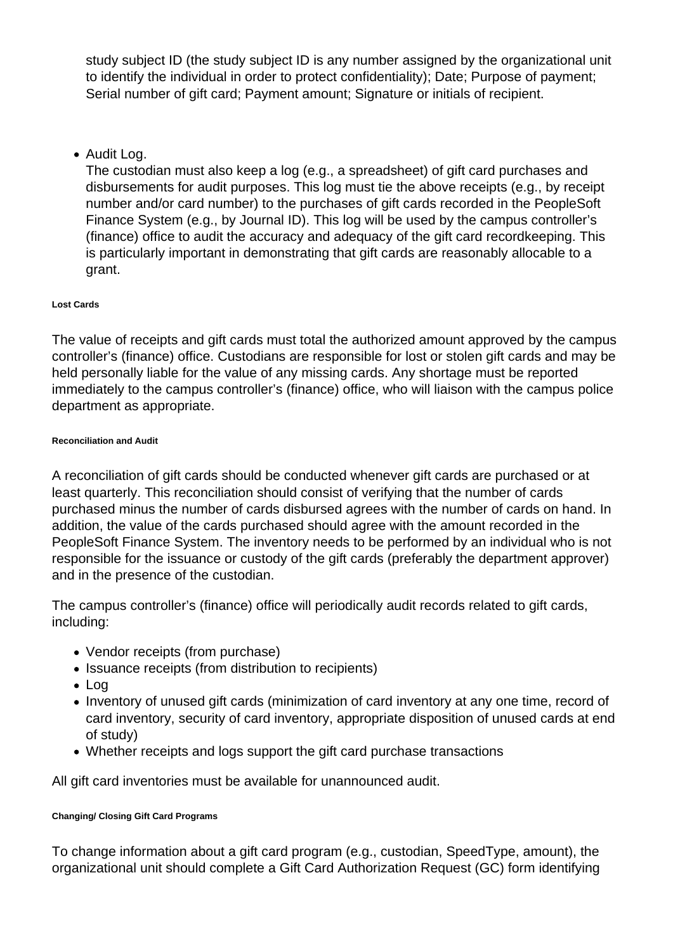study subject ID (the study subject ID is any number assigned by the organizational unit to identify the individual in order to protect confidentiality); Date; Purpose of payment; Serial number of gift card; Payment amount; Signature or initials of recipient.

• Audit Log.

The custodian must also keep a log (e.g., a spreadsheet) of gift card purchases and disbursements for audit purposes. This log must tie the above receipts (e.g., by receipt number and/or card number) to the purchases of gift cards recorded in the PeopleSoft Finance System (e.g., by Journal ID). This log will be used by the campus controller's (finance) office to audit the accuracy and adequacy of the gift card recordkeeping. This is particularly important in demonstrating that gift cards are reasonably allocable to a grant.

#### **Lost Cards**

The value of receipts and gift cards must total the authorized amount approved by the campus controller's (finance) office. Custodians are responsible for lost or stolen gift cards and may be held personally liable for the value of any missing cards. Any shortage must be reported immediately to the campus controller's (finance) office, who will liaison with the campus police department as appropriate.

#### **Reconciliation and Audit**

A reconciliation of gift cards should be conducted whenever gift cards are purchased or at least quarterly. This reconciliation should consist of verifying that the number of cards purchased minus the number of cards disbursed agrees with the number of cards on hand. In addition, the value of the cards purchased should agree with the amount recorded in the PeopleSoft Finance System. The inventory needs to be performed by an individual who is not responsible for the issuance or custody of the gift cards (preferably the department approver) and in the presence of the custodian.

The campus controller's (finance) office will periodically audit records related to gift cards, including:

- Vendor receipts (from purchase)
- Issuance receipts (from distribution to recipients)
- Log
- Inventory of unused gift cards (minimization of card inventory at any one time, record of card inventory, security of card inventory, appropriate disposition of unused cards at end of study)
- Whether receipts and logs support the gift card purchase transactions

All gift card inventories must be available for unannounced audit.

#### **Changing/ Closing Gift Card Programs**

To change information about a gift card program (e.g., custodian, SpeedType, amount), the organizational unit should complete a Gift Card Authorization Request (GC) form identifying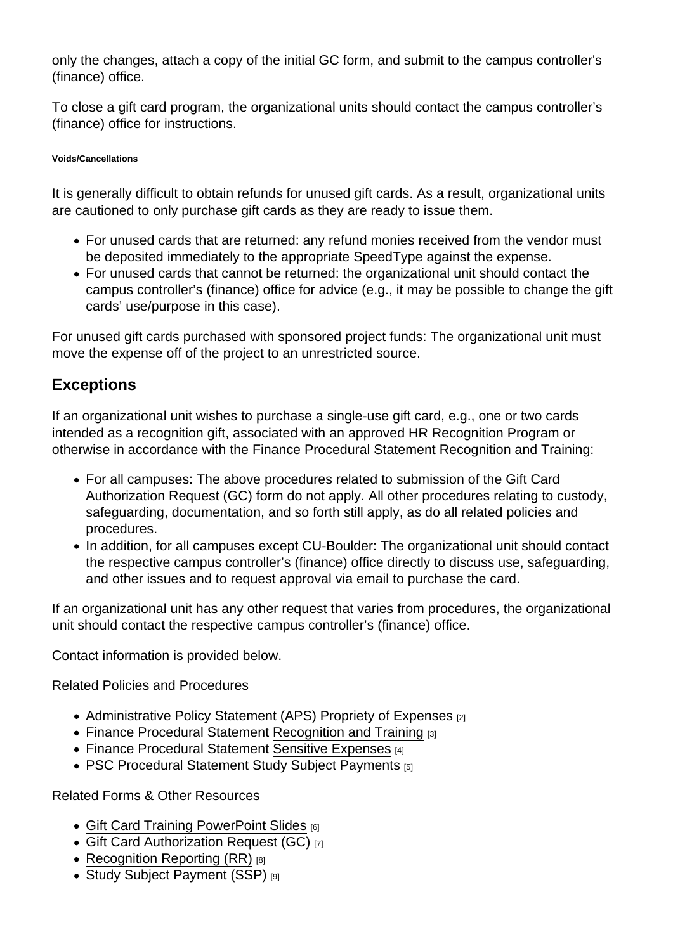only the changes, attach a copy of the initial GC form, and submit to the campus controller's (finance) office.

To close a gift card program, the organizational units should contact the campus controller's (finance) office for instructions.

### Voids/Cancellations

It is generally difficult to obtain refunds for unused gift cards. As a result, organizational units are cautioned to only purchase gift cards as they are ready to issue them.

- For unused cards that are returned: any refund monies received from the vendor must be deposited immediately to the appropriate SpeedType against the expense.
- For unused cards that cannot be returned: the organizational unit should contact the campus controller's (finance) office for advice (e.g., it may be possible to change the gift cards' use/purpose in this case).

For unused gift cards purchased with sponsored project funds: The organizational unit must move the expense off of the project to an unrestricted source.

## **Exceptions**

If an organizational unit wishes to purchase a single-use gift card, e.g., one or two cards intended as a recognition gift, associated with an approved HR Recognition Program or otherwise in accordance with the Finance Procedural Statement Recognition and Training:

- For all campuses: The above procedures related to submission of the Gift Card Authorization Request (GC) form do not apply. All other procedures relating to custody, safeguarding, documentation, and so forth still apply, as do all related policies and procedures.
- In addition, for all campuses except CU-Boulder: The organizational unit should contact the respective campus controller's (finance) office directly to discuss use, safeguarding, and other issues and to request approval via email to purchase the card.

If an organizational unit has any other request that varies from procedures, the organizational unit should contact the respective campus controller's (finance) office.

Contact information is provided below.

Related Policies and Procedures

- Administrative Policy Statement (APS) [Propriety of Expenses](https://www.cu.edu/ope/aps/4015) [2]
- Finance Procedural Statement [Recognition and Training](https://www.cu.edu/controller/procedures/finance-procedural-statements/finance-procedural-statement-recognition-and) [3]
- Finance Procedural Statement [Sensitive Expenses](https://www.cu.edu/controller/procedures/finance-procedural-statements/finance-procedural-statement-sensitive-expenses) [4]
- PSC Procedural Statement [Study Subject Payments](https://www.cu.edu/psc/policies/psc-procedural-statement-study-subject-payments) [5]

Related Forms & Other Resources

- [Gift Card Training PowerPoint Slides](https://www.cu.edu/psc/policies/gift-card-training-powerpoint) [6]
- [Gift Card Authorization Request \(GC\)](https://www.cu.edu/psc/policies/gift-card-authorization-request-gc) [7]
- [Recognition Reporting \(RR\)](https://www.cu.edu/psc/forms/recognition-reporting-rr) [8]
- [Study Subject Payment \(SSP\)](https://www.cu.edu/psc/forms/study-subject-payment-ssp) [9]